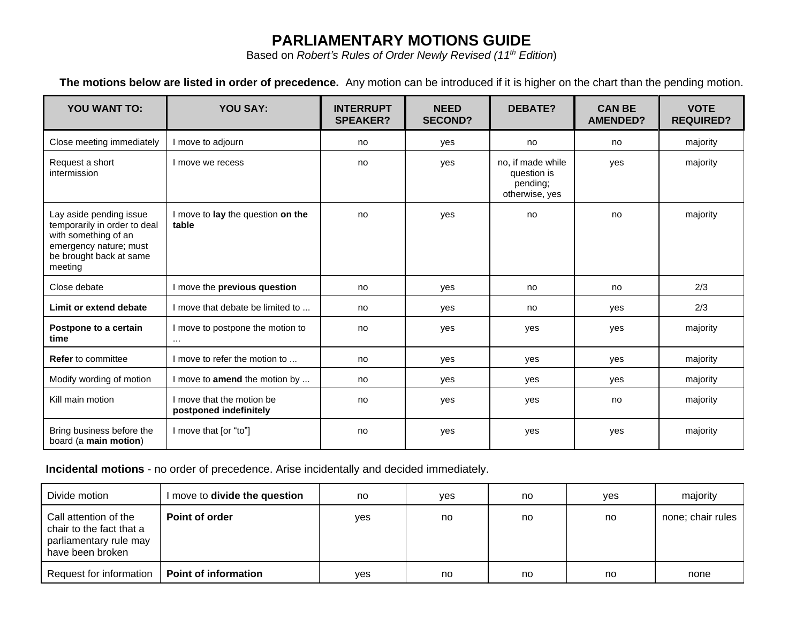## **PARLIAMENTARY MOTIONS GUIDE**

Based on *Robert's Rules of Order Newly Revised (11th Edition*)

**The motions below are listed in order of precedence.** Any motion can be introduced if it is higher on the chart than the pending motion.

| <b>YOU WANT TO:</b>                                                                                                                             | <b>YOU SAY:</b>                                     | <b>INTERRUPT</b><br><b>SPEAKER?</b> | <b>NEED</b><br><b>SECOND?</b> | <b>DEBATE?</b>                                                 | <b>CAN BE</b><br><b>AMENDED?</b> | <b>VOTE</b><br><b>REQUIRED?</b> |
|-------------------------------------------------------------------------------------------------------------------------------------------------|-----------------------------------------------------|-------------------------------------|-------------------------------|----------------------------------------------------------------|----------------------------------|---------------------------------|
| Close meeting immediately                                                                                                                       | I move to adjourn                                   | no                                  | yes                           | no                                                             | no                               | majority                        |
| Request a short<br>intermission                                                                                                                 | I move we recess                                    | no                                  | yes                           | no, if made while<br>question is<br>pending;<br>otherwise, yes | yes                              | majority                        |
| Lay aside pending issue<br>temporarily in order to deal<br>with something of an<br>emergency nature; must<br>be brought back at same<br>meeting | I move to lay the question on the<br>table          | no                                  | yes                           | no                                                             | no                               | majority                        |
| Close debate                                                                                                                                    | I move the previous question                        | no                                  | yes                           | no                                                             | no                               | 2/3                             |
| Limit or extend debate                                                                                                                          | I move that debate be limited to                    | no                                  | yes                           | no                                                             | yes                              | 2/3                             |
| Postpone to a certain<br>time                                                                                                                   | I move to postpone the motion to<br>$\ldots$        | no                                  | yes                           | yes                                                            | yes                              | majority                        |
| <b>Refer</b> to committee                                                                                                                       | I move to refer the motion to                       | no                                  | yes                           | yes                                                            | yes                              | majority                        |
| Modify wording of motion                                                                                                                        | I move to amend the motion by                       | no                                  | yes                           | yes                                                            | yes                              | majority                        |
| Kill main motion                                                                                                                                | I move that the motion be<br>postponed indefinitely | no                                  | yes                           | yes                                                            | no                               | majority                        |
| Bring business before the<br>board (a main motion)                                                                                              | I move that [or "to"]                               | no                                  | yes                           | yes                                                            | yes                              | majority                        |

**Incidental motions** - no order of precedence. Arise incidentally and decided immediately.

| Divide motion                                                                                   | I move to divide the question | no  | ves | no | ves | majority          |
|-------------------------------------------------------------------------------------------------|-------------------------------|-----|-----|----|-----|-------------------|
| Call attention of the<br>chair to the fact that a<br>parliamentary rule may<br>have been broken | Point of order                | yes | no  | no | no  | none; chair rules |
| Request for information                                                                         | <b>Point of information</b>   | ves | no  | no | no  | none              |